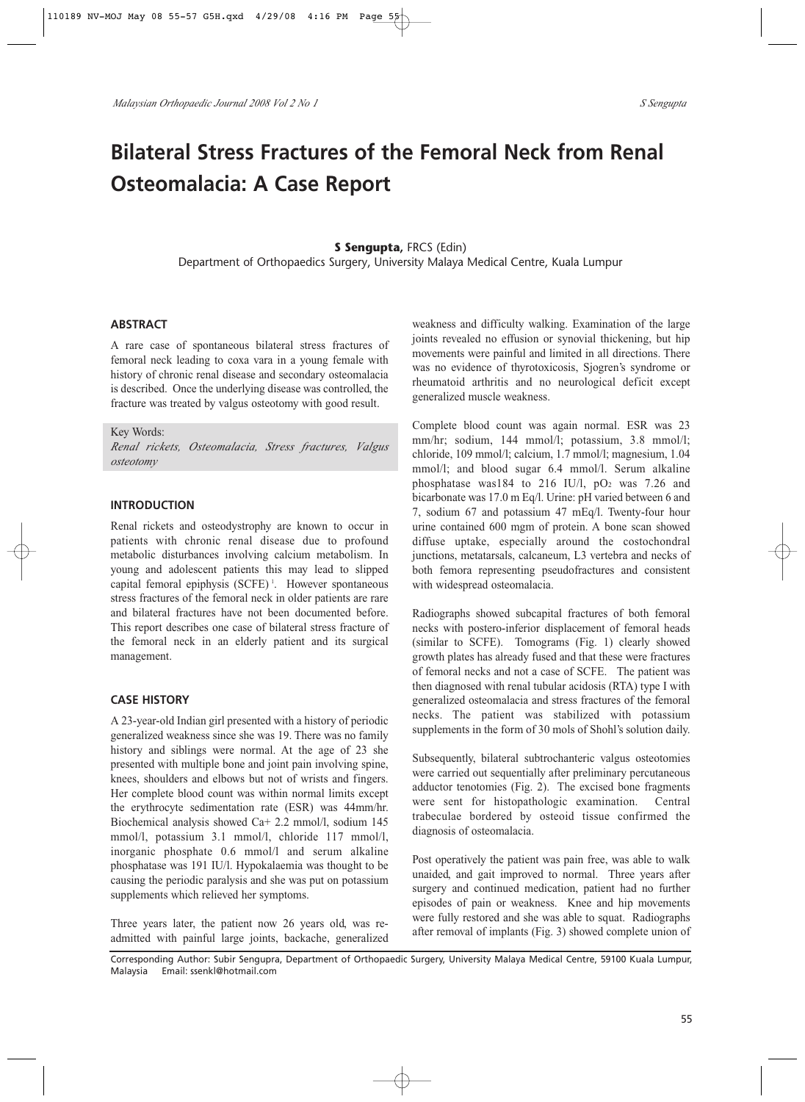# **Bilateral Stress Fractures of the Femoral Neck from Renal Osteomalacia: A Case Report**

## **S Sengupta,** FRCS (Edin)

Department of Orthopaedics Surgery, University Malaya Medical Centre, Kuala Lumpur

#### **ABSTRACT**

A rare case of spontaneous bilateral stress fractures of femoral neck leading to coxa vara in a young female with history of chronic renal disease and secondary osteomalacia is described. Once the underlying disease was controlled, the fracture was treated by valgus osteotomy with good result.

Key Words: *Renal rickets, Osteomalacia, Stress fractures, Valgus*

#### **INTRODUCTION**

*osteotomy*

Renal rickets and osteodystrophy are known to occur in patients with chronic renal disease due to profound metabolic disturbances involving calcium metabolism. In young and adolescent patients this may lead to slipped capital femoral epiphysis (SCFE)<sup>1</sup>. However spontaneous stress fractures of the femoral neck in older patients are rare and bilateral fractures have not been documented before. This report describes one case of bilateral stress fracture of the femoral neck in an elderly patient and its surgical management.

#### **CASE HISTORY**

A 23-year-old Indian girl presented with a history of periodic generalized weakness since she was 19. There was no family history and siblings were normal. At the age of 23 she presented with multiple bone and joint pain involving spine, knees, shoulders and elbows but not of wrists and fingers. Her complete blood count was within normal limits except the erythrocyte sedimentation rate (ESR) was 44mm/hr. Biochemical analysis showed Ca+ 2.2 mmol/l, sodium 145 mmol/l, potassium 3.1 mmol/l, chloride 117 mmol/l, inorganic phosphate 0.6 mmol/l and serum alkaline phosphatase was 191 IU/l. Hypokalaemia was thought to be causing the periodic paralysis and she was put on potassium supplements which relieved her symptoms.

Three years later, the patient now 26 years old, was readmitted with painful large joints, backache, generalized weakness and difficulty walking. Examination of the large joints revealed no effusion or synovial thickening, but hip movements were painful and limited in all directions. There was no evidence of thyrotoxicosis, Sjogren's syndrome or rheumatoid arthritis and no neurological deficit except generalized muscle weakness.

Complete blood count was again normal. ESR was 23 mm/hr; sodium, 144 mmol/l; potassium, 3.8 mmol/l; chloride, 109 mmol/l; calcium, 1.7 mmol/l; magnesium, 1.04 mmol/l; and blood sugar 6.4 mmol/l. Serum alkaline phosphatase was184 to 216 IU/l,  $pO<sub>2</sub>$  was 7.26 and bicarbonate was 17.0 m Eq/l. Urine: pH varied between 6 and 7, sodium 67 and potassium 47 mEq/l. Twenty-four hour urine contained 600 mgm of protein. A bone scan showed diffuse uptake, especially around the costochondral junctions, metatarsals, calcaneum, L3 vertebra and necks of both femora representing pseudofractures and consistent with widespread osteomalacia.

Radiographs showed subcapital fractures of both femoral necks with postero-inferior displacement of femoral heads (similar to SCFE). Tomograms (Fig. 1) clearly showed growth plates has already fused and that these were fractures of femoral necks and not a case of SCFE. The patient was then diagnosed with renal tubular acidosis (RTA) type I with generalized osteomalacia and stress fractures of the femoral necks. The patient was stabilized with potassium supplements in the form of 30 mols of Shohl's solution daily.

Subsequently, bilateral subtrochanteric valgus osteotomies were carried out sequentially after preliminary percutaneous adductor tenotomies (Fig. 2). The excised bone fragments were sent for histopathologic examination. Central trabeculae bordered by osteoid tissue confirmed the diagnosis of osteomalacia.

Post operatively the patient was pain free, was able to walk unaided, and gait improved to normal. Three years after surgery and continued medication, patient had no further episodes of pain or weakness. Knee and hip movements were fully restored and she was able to squat. Radiographs after removal of implants (Fig. 3) showed complete union of

Corresponding Author: Subir Sengupra, Department of Orthopaedic Surgery, University Malaya Medical Centre, 59100 Kuala Lumpur, Malaysia Email: ssenkl@hotmail.com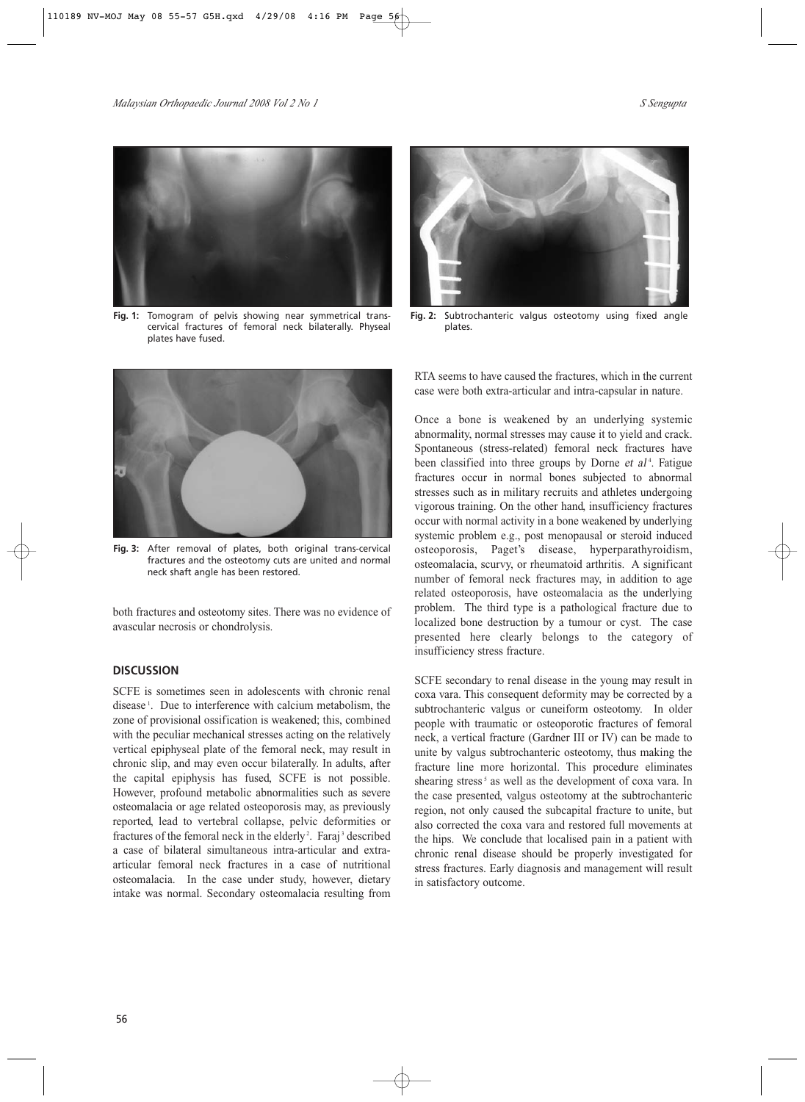

**Fig. 1:** Tomogram of pelvis showing near symmetrical transcervical fractures of femoral neck bilaterally. Physeal plates have fused.



**Fig. 3:** After removal of plates, both original trans-cervical fractures and the osteotomy cuts are united and normal neck shaft angle has been restored.

both fractures and osteotomy sites. There was no evidence of avascular necrosis or chondrolysis.

## **DISCUSSION**

SCFE is sometimes seen in adolescents with chronic renal disease <sup>1</sup> . Due to interference with calcium metabolism, the zone of provisional ossification is weakened; this, combined with the peculiar mechanical stresses acting on the relatively vertical epiphyseal plate of the femoral neck, may result in chronic slip, and may even occur bilaterally. In adults, after the capital epiphysis has fused, SCFE is not possible. However, profound metabolic abnormalities such as severe osteomalacia or age related osteoporosis may, as previously reported, lead to vertebral collapse, pelvic deformities or fractures of the femoral neck in the elderly<sup>2</sup>. Faraj<sup>3</sup> described a case of bilateral simultaneous intra-articular and extraarticular femoral neck fractures in a case of nutritional osteomalacia. In the case under study, however, dietary intake was normal. Secondary osteomalacia resulting from



**Fig. 2:** Subtrochanteric valgus osteotomy using fixed angle plates.

RTA seems to have caused the fractures, which in the current case were both extra-articular and intra-capsular in nature.

Once a bone is weakened by an underlying systemic abnormality, normal stresses may cause it to yield and crack. Spontaneous (stress-related) femoral neck fractures have been classified into three groups by Dorne et al<sup>4</sup>. Fatigue fractures occur in normal bones subjected to abnormal stresses such as in military recruits and athletes undergoing vigorous training. On the other hand, insufficiency fractures occur with normal activity in a bone weakened by underlying systemic problem e.g., post menopausal or steroid induced osteoporosis, Paget's disease, hyperparathyroidism, osteomalacia, scurvy, or rheumatoid arthritis. A significant number of femoral neck fractures may, in addition to age related osteoporosis, have osteomalacia as the underlying problem. The third type is a pathological fracture due to localized bone destruction by a tumour or cyst. The case presented here clearly belongs to the category of insufficiency stress fracture.

SCFE secondary to renal disease in the young may result in coxa vara. This consequent deformity may be corrected by a subtrochanteric valgus or cuneiform osteotomy. In older people with traumatic or osteoporotic fractures of femoral neck, a vertical fracture (Gardner III or IV) can be made to unite by valgus subtrochanteric osteotomy, thus making the fracture line more horizontal. This procedure eliminates shearing stress<sup>5</sup> as well as the development of coxa vara. In the case presented, valgus osteotomy at the subtrochanteric region, not only caused the subcapital fracture to unite, but also corrected the coxa vara and restored full movements at the hips. We conclude that localised pain in a patient with chronic renal disease should be properly investigated for stress fractures. Early diagnosis and management will result in satisfactory outcome.